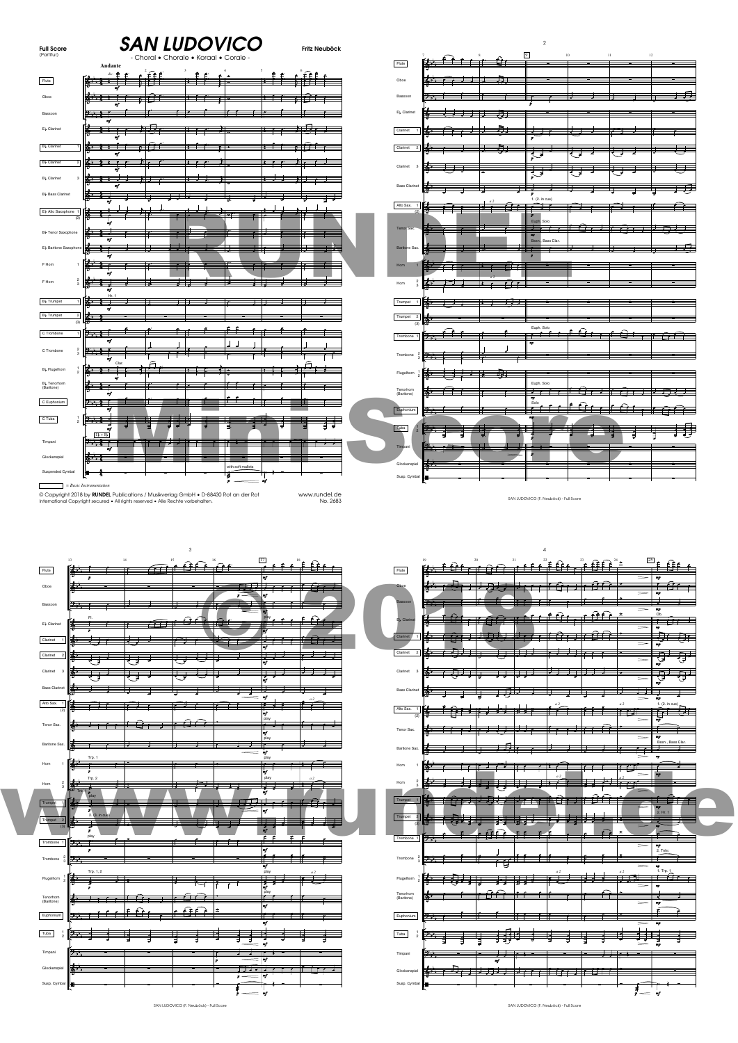

| Flute                     | 17<br>13<br>$\Omega$<br>$\cdots$<br>$\alpha$<br>$\widehat{\phantom{a}}$<br>[編集] 主                                                                                                                                                                          | BL LL<br>$\begin{picture}(20,10) \put(0,0){\vector(0,1){10}} \put(15,0){\vector(0,1){10}} \put(15,0){\vector(0,1){10}} \put(15,0){\vector(0,1){10}} \put(15,0){\vector(0,1){10}} \put(15,0){\vector(0,1){10}} \put(15,0){\vector(0,1){10}} \put(15,0){\vector(0,1){10}} \put(15,0){\vector(0,1){10}} \put(15,0){\vector(0,1){10}} \put(15,0){\vector(0,1){10}} \put(15,0){\vector(0$<br><b>Reservation</b><br>Flute                               |
|---------------------------|------------------------------------------------------------------------------------------------------------------------------------------------------------------------------------------------------------------------------------------------------------|---------------------------------------------------------------------------------------------------------------------------------------------------------------------------------------------------------------------------------------------------------------------------------------------------------------------------------------------------------------------------------------------------------------------------------------------------|
| Oboe                      | <u>the state of the state of the state of the state of the state of the state of the state of the state of the state of the state of the state of the state of the state of the state of the state of the state of the state of </u><br>أعهدتهم لمزاج ليدا | m<br>$\overline{\phantom{a}}$<br>l A A<br>$\mathbf{A}$ is a second function of $\mathbf{A}$<br>₹r<br><b>Obor</b><br>$ -$                                                                                                                                                                                                                                                                                                                          |
| Bassoon                   |                                                                                                                                                                                                                                                            | $\equiv$<br>$\sim$                                                                                                                                                                                                                                                                                                                                                                                                                                |
| El Clarinet               |                                                                                                                                                                                                                                                            | $\sigma$<br>$6\Omega$<br>म् तुम<br>工作<br>$\tau$ , $\tau$<br><b>B</b> Claring                                                                                                                                                                                                                                                                                                                                                                      |
| Clarinet                  | $\mathbf{r}$<br>╼<br>ł                                                                                                                                                                                                                                     | $\Rightarrow$<br>m.<br>⊫û<br>Clarinet<br>1 1 1 2 2 1 1 1 1<br>ਹਾਂ ਹ<br>Æ                                                                                                                                                                                                                                                                                                                                                                          |
| Clarinet 2                | <b>12. July 1999</b><br>-                                                                                                                                                                                                                                  | $\rightarrow$<br>Clarinet 2<br>16 (JJT                                                                                                                                                                                                                                                                                                                                                                                                            |
| Clarinet<br>$\mathcal{R}$ | −                                                                                                                                                                                                                                                          | नुरुम्<br>र<br>$\equiv$<br>Clarinet 3<br>棒 エク・コ<br>F + + +                                                                                                                                                                                                                                                                                                                                                                                        |
| <b>Bass Clarinet</b>      |                                                                                                                                                                                                                                                            | ाईैैै<br>ਹਾਂ<br>,,,,,,<br>-<br><b>Bass Clarinet</b>                                                                                                                                                                                                                                                                                                                                                                                               |
| Alto Sax.                 | = w<br>$\overline{\phantom{a}}$                                                                                                                                                                                                                            | 犘<br>∓स्<br>≢<br>一十<br>----<br>1. (2. in cue)                                                                                                                                                                                                                                                                                                                                                                                                     |
| $\sqrt{2}$                | $\theta$ $\Omega$                                                                                                                                                                                                                                          | Alto Sax. 1<br><u>i Arau ad Bar</u><br>╱<br>नदा ने<br>∎⊐<br>ir rif                                                                                                                                                                                                                                                                                                                                                                                |
| Tenor Sax.                | ਹਾਂ ਹ<br>$\sim$ $\sim$ $\sim$ $\sim$ $\sim$ $\sim$                                                                                                                                                                                                         | Tenor Sax.<br>i fire de de de la de<br>$\Rightarrow$<br>mp                                                                                                                                                                                                                                                                                                                                                                                        |
| Baritone Sax.             | ≖                                                                                                                                                                                                                                                          | Bssn., Bass Clar.<br>H<br>Baritone Sax.<br>والحاطا<br>f Fl                                                                                                                                                                                                                                                                                                                                                                                        |
| Horn                      | Trp.<br>play<br>$\cdot$ 1 $\cdot$ 1<br>$\overline{\phantom{a}}$                                                                                                                                                                                            | Hom<br><u> 1 e 11 e 21 e e e 11 é </u><br>$\overline{\phantom{a}}$                                                                                                                                                                                                                                                                                                                                                                                |
| $\frac{2}{3}$<br>Horn     | 陸<br>صبر<br>--                                                                                                                                                                                                                                             | كسر<br>Hom<br>t i ref<br>गमनुका                                                                                                                                                                                                                                                                                                                                                                                                                   |
| Trumpet                   | 1. <del>.</del><br>ᇐ                                                                                                                                                                                                                                       | t ûr 14 00 Hereibûn it ôft it<br>a a se<br>Trumpet 1                                                                                                                                                                                                                                                                                                                                                                                              |
| Trumpet 2                 | 93 T T T T<br>-                                                                                                                                                                                                                                            | > Hr<br>Trumpet<br><b>Martin Company of the Company of the Company of the Company of the Company of the Company of the Co</b>                                                                                                                                                                                                                                                                                                                     |
| (3)                       |                                                                                                                                                                                                                                                            | $-0$<br>Բ<br>Trombone 1 2                                                                                                                                                                                                                                                                                                                                                                                                                         |
| Trombone 1                | 外壳<br>$\mathbf{r}$                                                                                                                                                                                                                                         | $\mathbf{m}$<br>2. Tnhr                                                                                                                                                                                                                                                                                                                                                                                                                           |
| Trombone                  | 12 H<br>Trp. 1, 2<br>play                                                                                                                                                                                                                                  | $\frac{2}{3}$ $\frac{1}{2}$ $\frac{1}{2}$ $\frac{1}{2}$<br>Trombone<br>⊤धृ‼ा<br>1. Trp.                                                                                                                                                                                                                                                                                                                                                           |
| Flugelhorn                | Ma≻ — T<br>$\overline{\phantom{a}}$<br>$\overline{\phantom{a}}$                                                                                                                                                                                            | ட்டு -<br>$\frac{1}{2}$ , $\frac{1}{2}$ , $\frac{1}{2}$ , $\frac{1}{2}$<br>$\frac{1}{2}$ $\frac{1}{2}$ $\frac{1}{2}$ $\frac{1}{2}$ $\frac{1}{2}$ $\frac{1}{2}$ $\frac{1}{2}$ $\frac{1}{2}$ $\frac{1}{2}$ $\frac{1}{2}$ $\frac{1}{2}$ $\frac{1}{2}$ $\frac{1}{2}$ $\frac{1}{2}$ $\frac{1}{2}$ $\frac{1}{2}$ $\frac{1}{2}$ $\frac{1}{2}$ $\frac{1}{2}$ $\frac{1}{2}$ $\frac{1}{2}$ $\frac{1}{2}$<br>Flugelhorn<br>$\mathbf{A}$ , $\mathbf{A}$<br>मह |
| Tenorhorn<br>(Baritone)   | _______                                                                                                                                                                                                                                                    | ≏<br>Tenorhom<br>(Baritone)<br>-                                                                                                                                                                                                                                                                                                                                                                                                                  |
| Euphonium                 | $\alpha$<br>≏<br>25 F F                                                                                                                                                                                                                                    | Euphonium<br>ジャー<br>$\sim$<br>æ                                                                                                                                                                                                                                                                                                                                                                                                                   |
| Tuba                      | 阵                                                                                                                                                                                                                                                          | Tuba<br>医牛<br>₹Ţ<br>न न<br>ਤ                                                                                                                                                                                                                                                                                                                                                                                                                      |
| Timpani                   |                                                                                                                                                                                                                                                            | Timpani<br>ł<br>$11$ Fig.<br>$\frac{1}{2}$ , $\frac{1}{2}$ , $\frac{1}{2}$ , $\frac{1}{2}$ , $\frac{1}{2}$<br>$ -$                                                                                                                                                                                                                                                                                                                                |
| Glockenspiel              | 大片                                                                                                                                                                                                                                                         | はっこう コココ フィッドセットせい<br>Glockenspiel                                                                                                                                                                                                                                                                                                                                                                                                                |
| Susp. Cymbal              | $ \prime$                                                                                                                                                                                                                                                  | Susp. Cymbal<br>$i - i$                                                                                                                                                                                                                                                                                                                                                                                                                           |
|                           |                                                                                                                                                                                                                                                            |                                                                                                                                                                                                                                                                                                                                                                                                                                                   |

|                                     | 19            |   | 20 |    |                |        |   |          |   | ≗                             | 25 | £₽<br>Ê               |   |  |
|-------------------------------------|---------------|---|----|----|----------------|--------|---|----------|---|-------------------------------|----|-----------------------|---|--|
| Flute                               | þ             |   |    |    |                |        |   |          |   |                               |    |                       |   |  |
| Oboe                                |               |   |    |    |                |        |   |          |   |                               |    | m                     |   |  |
|                                     |               |   |    |    |                |        |   |          |   |                               |    | ×,                    |   |  |
| Bassoon                             |               |   |    |    |                |        |   |          |   |                               |    |                       |   |  |
|                                     |               |   |    |    |                |        |   |          |   |                               |    | $\frac{1}{2}$         |   |  |
| Eb Clarinet                         | ķ             |   |    |    |                |        |   |          |   |                               |    |                       |   |  |
|                                     |               |   |    |    |                |        |   |          |   |                               |    | e,                    |   |  |
| Clarinet<br>$\,$ 1 $\,$             |               |   |    |    |                |        |   |          |   |                               |    | ਚ                     | Ħ |  |
| Clarinet<br>$\overline{\mathbf{2}}$ |               |   |    |    |                |        |   |          |   | $\overline{\phantom{a}}$      |    |                       |   |  |
|                                     |               |   |    |    |                |        |   |          |   |                               |    | ×                     |   |  |
| Clarinet<br>$\mathbf 3$             | 庤             |   |    |    |                |        |   |          |   | 7                             |    |                       |   |  |
|                                     |               |   |    |    |                |        |   |          |   |                               |    | m                     |   |  |
| <b>Bass Clarinet</b>                | 揰             |   |    |    |                |        |   |          |   |                               |    |                       |   |  |
|                                     |               |   |    |    |                |        |   |          |   | a 2                           |    | m<br>1. (2. in cue)   |   |  |
| Alto Sax.<br>$\mathbf 1$<br>(2)     | ķ             |   | 3  |    |                | s.     |   |          |   | F<br>$\overline{\phantom{a}}$ |    | Ē                     |   |  |
|                                     |               |   |    |    |                |        |   |          |   |                               |    | m                     |   |  |
| Tenor Sax.                          | в             |   |    |    |                |        |   |          |   |                               |    |                       |   |  |
|                                     |               |   |    |    |                |        |   |          |   |                               |    | æ<br>Bssn., Bass Clar |   |  |
| Baritone Sax.                       |               |   |    |    |                |        |   |          |   |                               |    |                       |   |  |
| Horn<br>1                           |               |   |    |    |                |        |   |          |   |                               |    |                       |   |  |
|                                     |               |   |    |    |                |        |   |          |   |                               |    |                       |   |  |
| $\frac{2}{3}$<br>Horn               |               |   |    |    |                |        |   |          |   | $\cdots$                      |    |                       |   |  |
|                                     |               |   |    |    |                |        |   |          |   |                               |    |                       |   |  |
| Trumpet<br>$\mathbf 1$              |               |   |    |    |                |        |   |          |   |                               |    |                       |   |  |
|                                     |               |   |    |    |                |        |   |          |   |                               |    | 2. Hr. 1              |   |  |
| Trumpet<br>4<br>(3)                 |               |   |    |    |                |        |   |          |   | H                             |    |                       |   |  |
|                                     |               |   |    |    |                |        |   |          |   |                               |    |                       |   |  |
| Trombone 1                          | 24            |   |    |    |                |        |   |          |   |                               |    | ٠p                    |   |  |
|                                     |               |   |    |    |                |        |   |          |   | £                             |    | 2. Trihr              |   |  |
| Trombone                            | $\frac{2}{3}$ |   |    |    | $\overline{r}$ |        | ∓ |          |   |                               |    |                       |   |  |
|                                     |               |   |    |    |                |        |   | a 2<br>Ŧ |   | a2                            |    | $1.$ Trp. $1$<br>≘    |   |  |
| Flugelhorn $\frac{1}{2}$            |               |   |    |    |                |        |   |          |   | பு ப                          |    | ÷                     |   |  |
| Tenorhom<br>(Baritone)              | Z.            |   |    |    |                |        |   |          |   |                               |    |                       |   |  |
|                                     |               |   |    |    |                |        |   |          |   |                               |    | 嘾                     |   |  |
| Euphonium                           | 笋             |   |    |    |                |        |   |          |   |                               |    | é                     |   |  |
|                                     |               |   |    |    |                |        |   |          |   |                               |    |                       |   |  |
| Tuba                                | $\frac{1}{2}$ |   |    |    | Ħ              |        |   |          |   |                               |    |                       |   |  |
|                                     |               |   |    |    |                |        |   |          |   |                               |    |                       |   |  |
| Timpani                             | 舞             |   |    |    |                |        |   |          |   |                               |    |                       |   |  |
|                                     |               |   |    |    |                |        |   |          |   |                               |    |                       |   |  |
| Glockenspiel                        | 作             | ≂ | Ŧ  | Ŧ. |                | ₹<br>Ŧ |   | Ħ        | Ē |                               |    |                       |   |  |
| Susp. Cymbal                        | ⊮             |   |    |    |                |        |   |          |   |                               |    |                       |   |  |
|                                     |               |   |    |    |                |        |   |          |   |                               |    |                       |   |  |
|                                     |               |   |    |    |                |        |   |          |   |                               |    |                       |   |  |

SAN LUDOVICO (F. Neuböck) - Full Score